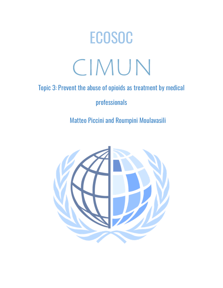# ECOSOC CIMUN

# Topic 3: Prevent the abuse of opioids as treatment by medical

# professionals

Matteo Piccini and Roumpini Moulavasili

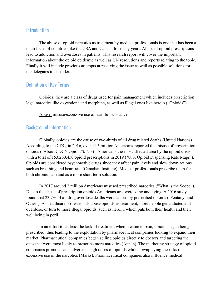#### **Introduction**

The abuse of opioid narcotics as treatment by medical professionals is one that has been a main focus of countries like the USA and Canada for many years. Abuse of opioid prescriptions lead to addiction and overdoses in patients. This research report will cover the important information about the opioid epidemic as well as UN resolutions and reports relating to the topic. Finally it will include previous attempts at resolving the issue as well as possible solutions for the delegates to consider.

#### Definition of Key Terms

Opioids: they are a class of drugs used for pain management which includes prescription legal narcotics like oxycodone and morphine, as well as illegal ones like heroin ("Opioids")

Abuse: misuse/excessive use of harmful substances

#### Background Information

Globally, opioids are the cause of two-thirds of all drug related deaths (United Nations). According to the CDC, in 2016, over 11.5 million Americans reported the misuse of prescription opioids ("About CDC's Opioid"). North America is the most affected area by the opioid crisis with a total of 153,260,450 opioid prescriptions in 2019 ("U.S. Opioid Dispensing Rate Maps"). Opioids are considered psychoactive drugs since they affect pain levels and slow down actions such as breathing and heart rate (Canadian Institute). Medical professionals prescribe them for both chronic pain and as a more short term solution.

In 2017 around 2 million Americans misused prescribed narcotics ("What is the Scope"). Due to the abuse of prescription opioids Americans are overdosing and dying. A 2016 study found that 23.7% of all drug overdose deaths were caused by prescribed opioids ("Fentanyl and Other"). As healthcare professionals abuse opioids as treatment, more people get addicted and overdose, or turn to more illegal opioids, such as heroin, which puts both their health and their well being in peril.

In an effort to address the lack of treatment when it came to pain, opioids began being prescribed, thus leading to the exploitation by pharmaceutical companies looking to expand their market. Pharmaceutical companies began selling opioids directly to doctors and targeting the ones that were most likely to prescribe more narcotics (Annan). The marketing strategy of opioid companies promotes and advertises high doses of opioids while downplaying the risks of excessive use of the narcotics (Marks). Pharmaceutical companies also influence medical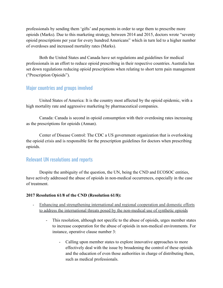professionals by sending them 'gifts' and payments in order to urge them to prescribe more opioids (Marks). Due to this marketing strategy, between 2014 and 2015, doctors wrote "seventy opioid prescriptions per year for every hundred Americans" which in turn led to a higher number of overdoses and increased mortality rates (Marks).

Both the United States and Canada have set regulations and guidelines for medical professionals in an effort to reduce opioid prescribing in their respective countries. Australia has set down regulations reducing opioid prescriptions when relating to short term pain management ("Prescription Opioids").

## Major countries and groups involved

United States of America: It is the country most affected by the opioid epidemic, with a high mortality rate and aggressive marketing by pharmaceutical companies.

Canada: Canada is second in opioid consumption with their overdosing rates increasing as the prescriptions for opioids (Annan).

Center of Disease Control: The CDC a US government organization that is overlooking the opioid crisis and is responsible for the prescription guidelines for doctors when prescribing opioids.

#### Relevant UN resolutions and reports

Despite the ambiguity of the question, the UN, being the CND and ECOSOC entities, have actively addressed the abuse of opioids in non-medical occurrences, especially in the case of treatment.

#### **2017 Resolution 61/8 of the CND (Resolution 61/8):**

- Enhancing and strengthening international and regional cooperation and domestic efforts to address the international threats posed by the non-medical use of synthetic opioids
	- This resolution, although not specific to the abuse of opioids, urges member states to increase cooperation for the abuse of opioids in non-medical environments. For instance, operative clause number 3:
		- Calling upon member states to explore innovative approaches to more effectively deal with the issue by broadening the control of these opioids and the education of even those authorities in charge of distributing them, such as medical professionals.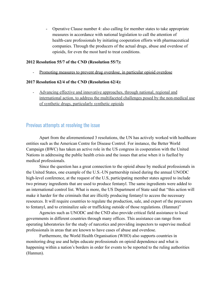- Operative Clause number 4: also calling for member states to take appropriate measures in accordance with national legislation to call the attention of health-care professionals by initiating cooperation efforts with pharmaceutical companies. Through the producers of the actual drugs, abuse and overdose of opioids, for even the most hard to treat conditions.

#### **2012 Resolution 55/7 of the CND (Resolution 55/7):**

Promoting measures to prevent drug overdose, in particular opioid overdose

#### **2017 Resolution 62/4 of the CND (Resolution 62/4):**

- Advancing effective and innovative approaches, through national, regional and international action, to address the multifaceted challenges posed by the non-medical use of synthetic drugs, particularly synthetic opioids

#### Previous attempts at resolving the issue

Apart from the aforementioned 3 resolutions, the UN has actively worked with healthcare entities such as the American Centre for Disease Control. For instance, the Better World Campaign (BWC) has taken an active role in the US congress in cooperation with the United Nations in addressing the public health crisis and the issues that arise when it is fuelled by medical professionals.

Since the question has a great connection to the opioid abuse by medical professionals in the United States, one example of the U.S.-UN partnership raised during the annual UNODC high-level conference, at the request of the U.S, participating member states agreed to include two primary ingredients that are used to produce fentanyl. The same ingredients were added to an international control list. What is more, the US Department of State said that "this action will make it harder for the criminals that are illicitly producing fentanyl to access the necessary resources. It will require countries to regulate the production, sale, and export of the precursors to fentanyl, and to criminalize sale or trafficking outside of those regulations. (Hannun)"

Agencies such as UNODC and the CND also provide critical field assistance to local governments in different countries through many offices. This assistance can range from operating laboratories for the study of narcotics and providing inspectors to supervise medical professionals in areas that are known to have cases of abuse and overdose.

Furthermore, the World Health Organisation (WHO) also supports countries in monitoring drug use and helps educate professionals on opioid dependence and what is happening within a nation's borders in order for events to be reported to the ruling authorities (Hannun).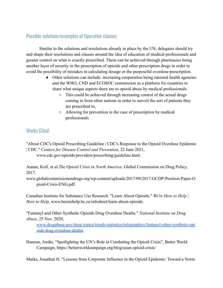## Possible solutions/examples of Operative clauses

Similar to the solutions and resolutions already in place by the UN, delegates should try and shape their resolutions and clauses around the idea of education of medical professionals and greater control on what is exactly prescribed. These can be achieved through pharmacies being another layer of security in the prescription of opioids and other prescription drugs in order to avoid the possibility of mistakes in calculating dosage or the purposeful overdose prescription.

- Other solutions can include: increasing cooperation being national health agencies and the WHO, CND and ECOSOC commission as a platform for countries to share what unique aspects there are to opioid abuse by medical professionals.
	- This could be achieved through increasing control of the actual drugs coming in from other nations in order to surveil the sort of patients they are prescribed to,
	- Allowing for prevention in the case of prescription by medical professionals.

## Works Cited:

"About CDC's Opioid Prescribing Guideline | CDC's Response to the Opioid Overdose Epidemic | CDC." *Centers for Disease Control and Prevention*, 22 June 2021,

www.cdc.gov/opioids/providers/prescribing/guideline.html.

Annan, Kofi, et al.*The Opioid Crisis in North America*. Global Commission on Drug Policy, 2017.

www.globalcommissionondrugs.org/wp-content/uploads/2017/09/2017-GCDP-Position-Paper-O pioid-Crisis-ENG.pdf.

Canadian Institute for Substance Use Research. "Learn About Opioids." *We're Here to Help | Here to Help*, www.heretohelp.bc.ca/infosheet/learn-about-opioids.

"Fentanyl and Other Synthetic Opioids Drug Overdose Deaths." *National Institute on Drug Abuse*, 25 Nov. 2020,

www.drugabuse.gov/drug-topics/trends-statistics/infographics/fentanyl-other-synthetic-opi oids-drug-overdose-deaths.

Hannun, Jordie, "Spotlighting the UN's Role in Combating the Opioid Crisis", Better World Campaign, https://betterworldcampaign.org/blog/usun-opioid-crisis/

Marks, Jonathan H. "Lessons from Corporate Influence in the Opioid Epidemic: Toward a Norm